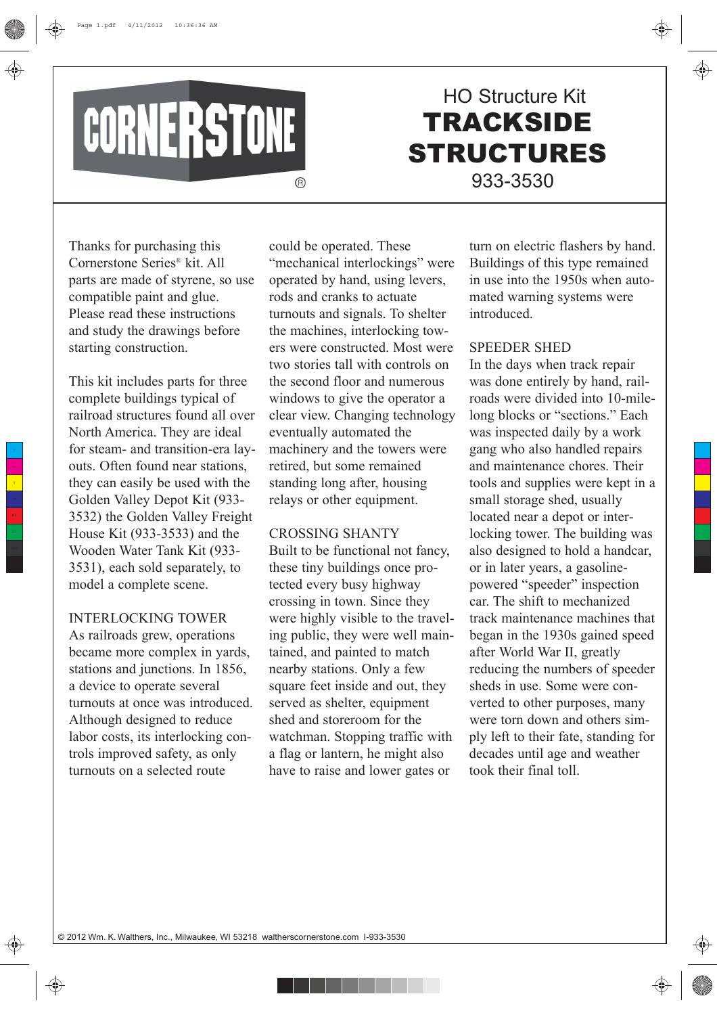

# **TRACKSIDE** STRUCTURES HO Structure Kit 933-3530

Thanks for purchasing this Cornerstone Series® kit. All parts are made of styrene, so use compatible paint and glue. Please read these instructions and study the drawings before starting construction.

This kit includes parts for three complete buildings typical of railroad structures found all over North America. They are ideal for steam- and transition-era layouts. Often found near stations, they can easily be used with the Golden Valley Depot Kit (933- 3532) the Golden Valley Freight House Kit (933-3533) and the Wooden Water Tank Kit (933- 3531), each sold separately, to model a complete scene.

# INTERLOCKING TOWER

As railroads grew, operations became more complex in yards, stations and junctions. In 1856, a device to operate several turnouts at once was introduced. Although designed to reduce labor costs, its interlocking controls improved safety, as only turnouts on a selected route

could be operated. These "mechanical interlockings" were operated by hand, using levers, rods and cranks to actuate turnouts and signals. To shelter the machines, interlocking towers were constructed. Most were two stories tall with controls on the second floor and numerous windows to give the operator a clear view. Changing technology eventually automated the machinery and the towers were retired, but some remained standing long after, housing relays or other equipment.

### CROSSING SHANTY

Built to be functional not fancy, these tiny buildings once protected every busy highway crossing in town. Since they were highly visible to the traveling public, they were well maintained, and painted to match nearby stations. Only a few square feet inside and out, they served as shelter, equipment shed and storeroom for the watchman. Stopping traffic with a flag or lantern, he might also have to raise and lower gates or

. . . .

turn on electric flashers by hand. Buildings of this type remained in use into the 1950s when automated warning systems were introduced.

#### SPEEDER SHED

In the days when track repair was done entirely by hand, railroads were divided into 10-milelong blocks or "sections." Each was inspected daily by a work gang who also handled repairs and maintenance chores. Their tools and supplies were kept in a small storage shed, usually located near a depot or interlocking tower. The building was also designed to hold a handcar, or in later years, a gasolinepowered "speeder" inspection car. The shift to mechanized track maintenance machines that began in the 1930s gained speed after World War II, greatly reducing the numbers of speeder sheds in use. Some were converted to other purposes, many were torn down and others simply left to their fate, standing for decades until age and weather took their final toll.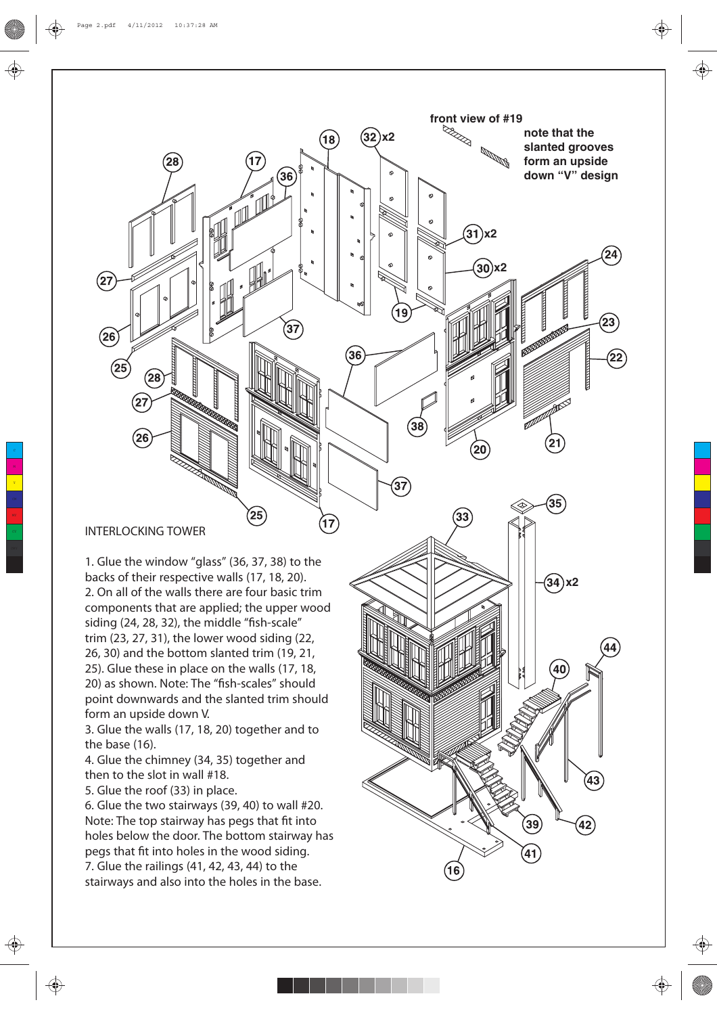**note that the slanted grooves form an upside down "V" design** 

 $^{'}21$ 

 $24$ 

 $\left[23\right]$ 

 $\overline{22}$ 

**front view of #19**

**x2**

**x2**

 $(32)$ x2

36

17

. . . .

38

 $(18)$ 

 $36$ 

37

 $\hat{\mathbf{\Phi}}$ 

**INTERLOCKING TOWER**

 $(27)$ 

 $(26)$ 

 $\widehat{25}$ 

 $(27)$ 

 $\widehat{26}$ 

1. Glue the window "glass" (36, 37, 38) to the backs of their respective walls (17, 18, 20). 2. On all of the walls there are four basic trim components that are applied; the upper wood siding (24, 28, 32), the middle "fish-scale" trim (23, 27, 31), the lower wood siding (22, 26, 30) and the bottom slanted trim (19, 21, 25). Glue these in place on the walls (17, 18, 20) as shown. Note: The "fish-scales" should point downwards and the slanted trim should form an upside down V.

 $25$ 

3. Glue the walls (17, 18, 20) together and to the base (16).

4. Glue the chimney (34, 35) together and then to the slot in wall #18.

5. Glue the roof (33) in place.

⊕

6. Glue the two stairways (39, 40) to wall #20. Note: The top stairway has pegs that fit into holes below the door. The bottom stairway has pegs that fit into holes in the wood siding. 7. Glue the railings (41, 42, 43, 44) to the stairways and also into the holes in the base.

37  $35^{\degree}$  $33$ **x2** 40 43 (16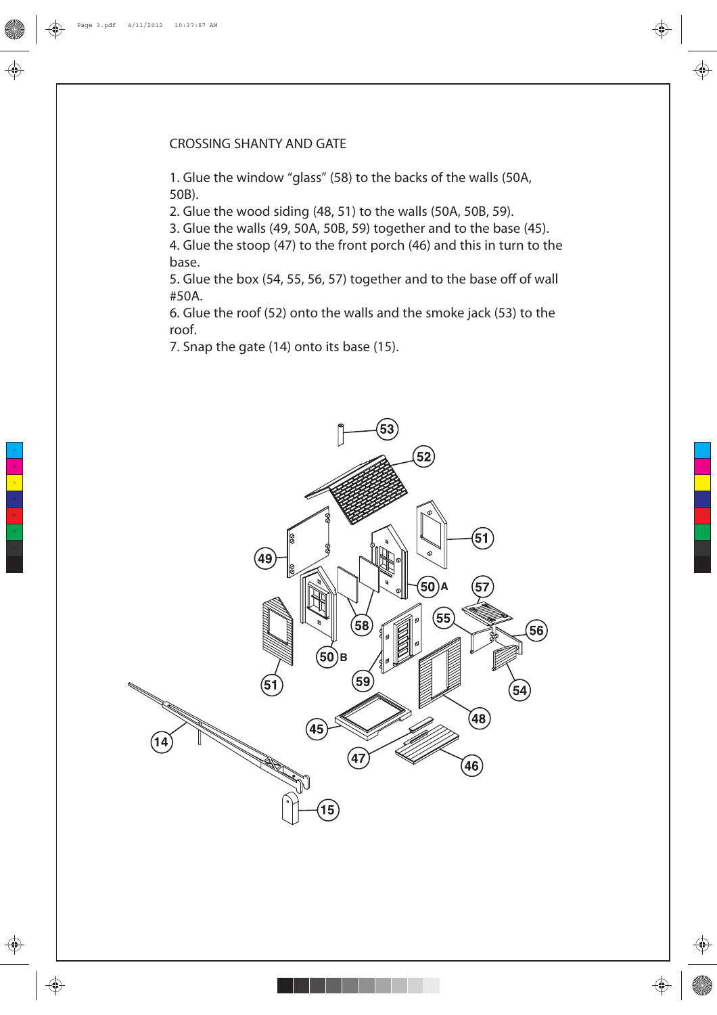# **CROSSING SHANTY AND GATE**

1. Glue the window "glass" (58) to the backs of the walls (50A, 50B).

2. Glue the wood siding (48, 51) to the walls (50A, 50B, 59).

3. Glue the walls (49, 50A, 50B, 59) together and to the base (45).

4. Glue the stoop (47) to the front porch (46) and this in turn to the base.

5. Glue the box (54, 55, 56, 57) together and to the base off of wall #50A.

6. Glue the roof (52) onto the walls and the smoke jack (53) to the roof.

7. Snap the gate (14) onto its base (15).



 $\bigoplus$ 

⊕

⊕